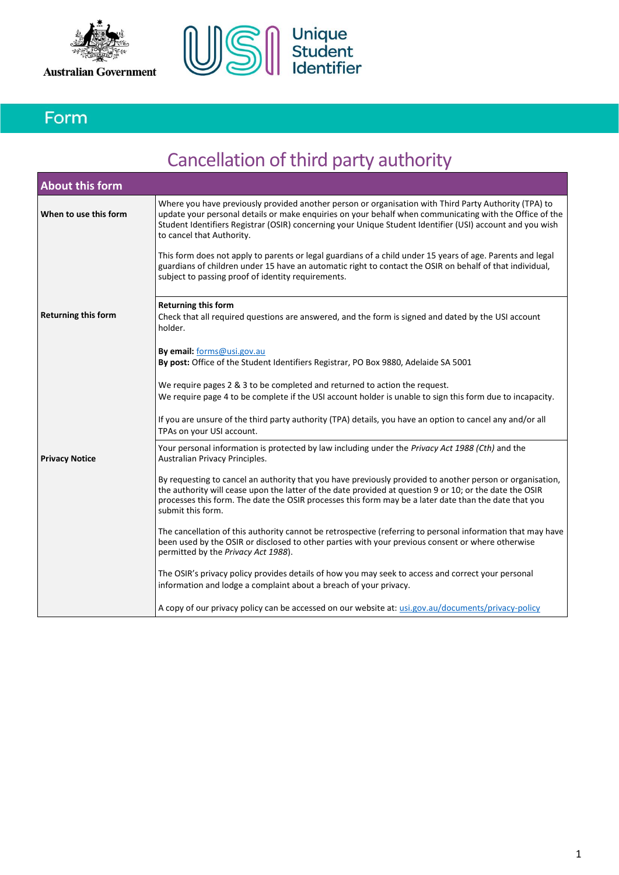



## Form

# Cancellation of third party authority

| <b>About this form</b>     |                                                                                                                                                                                                                                                                                                                                                                                                                                                                                                                                                                                      |  |  |  |
|----------------------------|--------------------------------------------------------------------------------------------------------------------------------------------------------------------------------------------------------------------------------------------------------------------------------------------------------------------------------------------------------------------------------------------------------------------------------------------------------------------------------------------------------------------------------------------------------------------------------------|--|--|--|
| When to use this form      | Where you have previously provided another person or organisation with Third Party Authority (TPA) to<br>update your personal details or make enquiries on your behalf when communicating with the Office of the<br>Student Identifiers Registrar (OSIR) concerning your Unique Student Identifier (USI) account and you wish<br>to cancel that Authority.<br>This form does not apply to parents or legal guardians of a child under 15 years of age. Parents and legal<br>guardians of children under 15 have an automatic right to contact the OSIR on behalf of that individual, |  |  |  |
|                            | subject to passing proof of identity requirements.                                                                                                                                                                                                                                                                                                                                                                                                                                                                                                                                   |  |  |  |
| <b>Returning this form</b> | <b>Returning this form</b><br>Check that all required questions are answered, and the form is signed and dated by the USI account<br>holder.                                                                                                                                                                                                                                                                                                                                                                                                                                         |  |  |  |
|                            | By email: forms@usi.gov.au<br>By post: Office of the Student Identifiers Registrar, PO Box 9880, Adelaide SA 5001                                                                                                                                                                                                                                                                                                                                                                                                                                                                    |  |  |  |
|                            | We require pages 2 & 3 to be completed and returned to action the request.<br>We require page 4 to be complete if the USI account holder is unable to sign this form due to incapacity.                                                                                                                                                                                                                                                                                                                                                                                              |  |  |  |
|                            | If you are unsure of the third party authority (TPA) details, you have an option to cancel any and/or all<br>TPAs on your USI account.                                                                                                                                                                                                                                                                                                                                                                                                                                               |  |  |  |
| <b>Privacy Notice</b>      | Your personal information is protected by law including under the Privacy Act 1988 (Cth) and the<br>Australian Privacy Principles.                                                                                                                                                                                                                                                                                                                                                                                                                                                   |  |  |  |
|                            | By requesting to cancel an authority that you have previously provided to another person or organisation,<br>the authority will cease upon the latter of the date provided at question 9 or 10; or the date the OSIR<br>processes this form. The date the OSIR processes this form may be a later date than the date that you<br>submit this form.                                                                                                                                                                                                                                   |  |  |  |
|                            | The cancellation of this authority cannot be retrospective (referring to personal information that may have<br>been used by the OSIR or disclosed to other parties with your previous consent or where otherwise<br>permitted by the Privacy Act 1988).                                                                                                                                                                                                                                                                                                                              |  |  |  |
|                            | The OSIR's privacy policy provides details of how you may seek to access and correct your personal<br>information and lodge a complaint about a breach of your privacy.                                                                                                                                                                                                                                                                                                                                                                                                              |  |  |  |
|                            | A copy of our privacy policy can be accessed on our website at: usi.gov.au/documents/privacy-policy                                                                                                                                                                                                                                                                                                                                                                                                                                                                                  |  |  |  |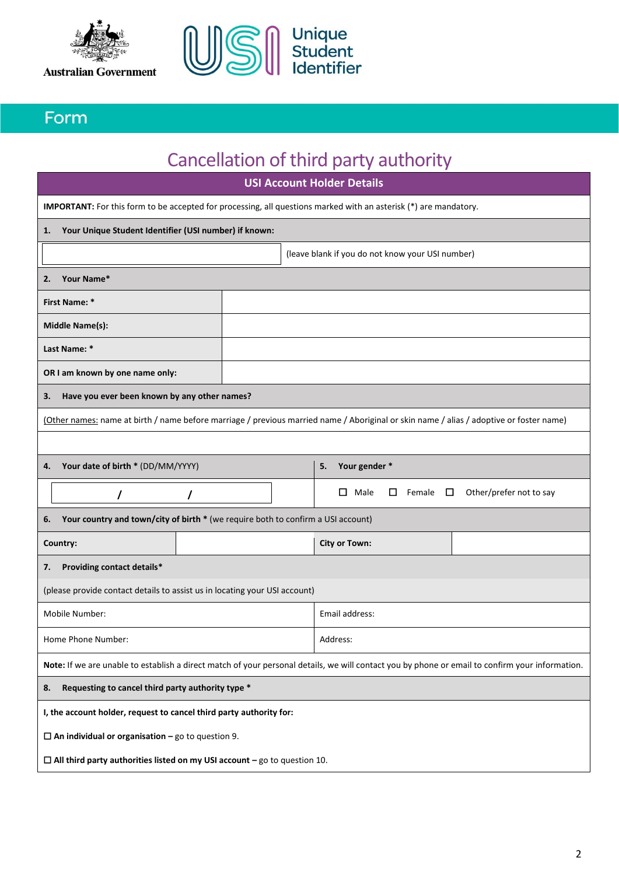



### Form

# Cancellation of third party authority

| <b>USI Account Holder Details</b>                                                                                                               |                                                                                                                         |  |                                                                                                                                         |  |  |  |
|-------------------------------------------------------------------------------------------------------------------------------------------------|-------------------------------------------------------------------------------------------------------------------------|--|-----------------------------------------------------------------------------------------------------------------------------------------|--|--|--|
|                                                                                                                                                 | <b>IMPORTANT:</b> For this form to be accepted for processing, all questions marked with an asterisk (*) are mandatory. |  |                                                                                                                                         |  |  |  |
|                                                                                                                                                 | 1. Your Unique Student Identifier (USI number) if known:                                                                |  |                                                                                                                                         |  |  |  |
|                                                                                                                                                 |                                                                                                                         |  | (leave blank if you do not know your USI number)                                                                                        |  |  |  |
| 2.                                                                                                                                              | Your Name*                                                                                                              |  |                                                                                                                                         |  |  |  |
|                                                                                                                                                 | <b>First Name: *</b>                                                                                                    |  |                                                                                                                                         |  |  |  |
|                                                                                                                                                 | <b>Middle Name(s):</b>                                                                                                  |  |                                                                                                                                         |  |  |  |
|                                                                                                                                                 | Last Name: *                                                                                                            |  |                                                                                                                                         |  |  |  |
|                                                                                                                                                 | OR I am known by one name only:                                                                                         |  |                                                                                                                                         |  |  |  |
| З.                                                                                                                                              | Have you ever been known by any other names?                                                                            |  |                                                                                                                                         |  |  |  |
|                                                                                                                                                 |                                                                                                                         |  | (Other names: name at birth / name before marriage / previous married name / Aboriginal or skin name / alias / adoptive or foster name) |  |  |  |
|                                                                                                                                                 |                                                                                                                         |  |                                                                                                                                         |  |  |  |
| 4.                                                                                                                                              | Your date of birth * (DD/MM/YYYY)                                                                                       |  | Your gender *<br>5.                                                                                                                     |  |  |  |
|                                                                                                                                                 | 7<br>7                                                                                                                  |  | $\Box$<br>Male<br>□<br>Female $\Box$<br>Other/prefer not to say                                                                         |  |  |  |
| 6.                                                                                                                                              | Your country and town/city of birth * (we require both to confirm a USI account)                                        |  |                                                                                                                                         |  |  |  |
|                                                                                                                                                 | Country:                                                                                                                |  | <b>City or Town:</b>                                                                                                                    |  |  |  |
| 7.                                                                                                                                              | Providing contact details*                                                                                              |  |                                                                                                                                         |  |  |  |
| (please provide contact details to assist us in locating your USI account)                                                                      |                                                                                                                         |  |                                                                                                                                         |  |  |  |
| Mobile Number:                                                                                                                                  |                                                                                                                         |  | Email address:                                                                                                                          |  |  |  |
| Home Phone Number:                                                                                                                              |                                                                                                                         |  | Address:                                                                                                                                |  |  |  |
| Note: If we are unable to establish a direct match of your personal details, we will contact you by phone or email to confirm your information. |                                                                                                                         |  |                                                                                                                                         |  |  |  |
| Requesting to cancel third party authority type *<br>8.                                                                                         |                                                                                                                         |  |                                                                                                                                         |  |  |  |
| I, the account holder, request to cancel third party authority for:                                                                             |                                                                                                                         |  |                                                                                                                                         |  |  |  |
| $\Box$ An individual or organisation – go to question 9.                                                                                        |                                                                                                                         |  |                                                                                                                                         |  |  |  |
|                                                                                                                                                 | $\Box$ All third party authorities listed on my USI account - go to question 10.                                        |  |                                                                                                                                         |  |  |  |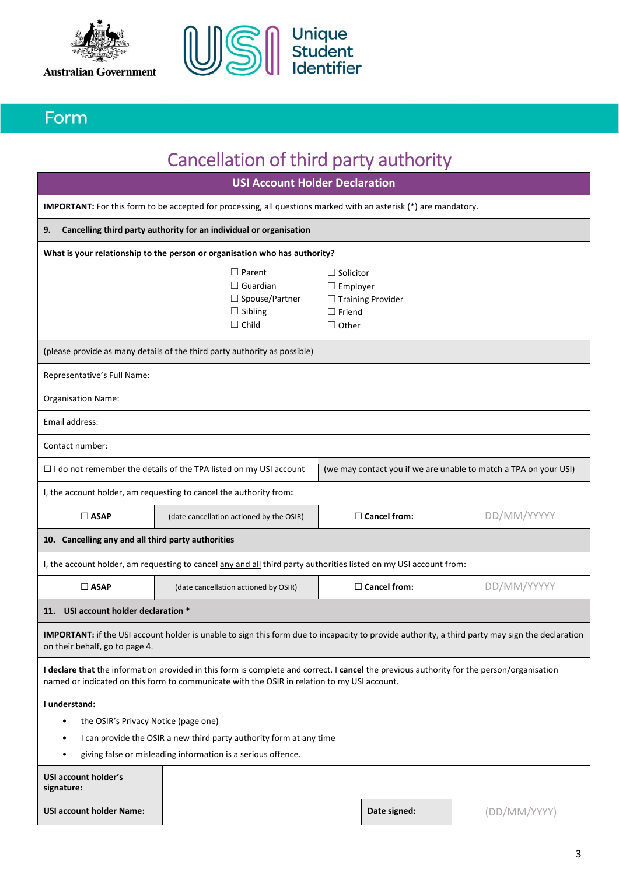



### Form

## Cancellation of third party authority

**USI Account Holder Declaration IMPORTANT:** For this form to be accepted for processing, all questions marked with an asterisk (\*) are mandatory. **9. Cancelling third party authority for an individual or organisation What is your relationship to the person or organisation who has authority?** (please provide as many details of the third party authority as possible) Representative's Full Name: \* Organisation Name: Email address: Contact number:  $\Box$  I do not remember the details of the TPA listed on my USI account  $\Box$  (we may contact you if we are unable to match a TPA on your USI) I, the account holder, am requesting to cancel the authority from**:** ☐ **ASAP** (date cancellation actioned by the OSIR) ☐ **Cancel from:** DD/MM/YYYYY **10. Cancelling any and all third party authorities 11.** I, the account holder, am requesting to cancel any and all third party authorities listed on my USI account from: ☐ **ASAP** (date cancellation actioned by OSIR) ☐ **Cancel from:** DD/MM/YYYYY **11. USI account holder declaration \* IMPORTANT:** if the USI account holder is unable to sign this form due to incapacity to provide authority, a third party may sign the declaration on their behalf, go to page 4. **I declare that** the information provided in this form is complete and correct. I **cancel** the previous authority for the person/organisation named or indicated on this form to communicate with the OSIR in relation to my USI account. **I understand:**  • the OSIR's Privacy Notice (page one) • I can provide the OSIR a new third party authority form at any time • giving false or misleading information is a serious offence. ☐ Parent □ Guardian □ Spouse/Partner □ Sibling ☐ Child □ Solicitor □ Employer ☐ Training Provider ☐ Friend ☐ Other

| USI account holder's<br>signature: |              |              |
|------------------------------------|--------------|--------------|
| <b>USI account holder Name:</b>    | Date signed: | (DD/MM/YYYY) |